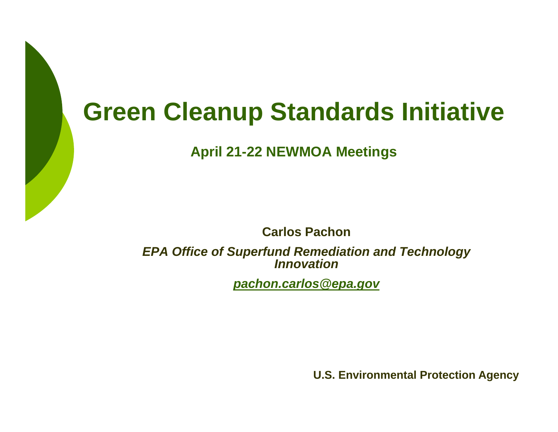## **Green Cleanup Standards Initiative**

**April 21-22 NEWMOA Meetings**

**Carlos Pachon**

*EPA Office of Superfund Remediation and Technology Innovation*

*pachon.carlos@epa.gov*

**U.S. Environmental Protection Agency**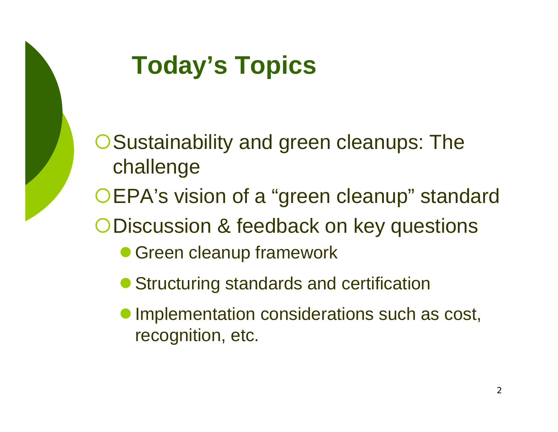

# **Today's Topics**

**O Sustainability and green cleanups: The** challenge

OEPA's vision of a "green cleanup" standard

{Discussion & feedback on key questions

- **Green cleanup framework**
- **Structuring standards and certification**
- $\bullet$  Implementation considerations such as cost, recognition, etc.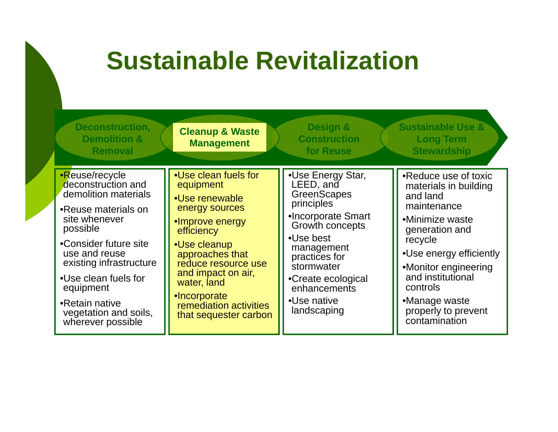#### **Sustainable Revitalization Deconstruction, Cleanup & Waste Design & Sustainable Use &** •Reuse/recycle deconstruction and demolition materials •Use clean fuels for equipment •Use Energy Star, LEED, and •Reduce use of toxic materials in building **Demolition & RemovalConstruction for Reuse Long Term Stewardship Management** •Reuse materials on site whenever possible •Consider future site•Use renewable energy sources •Improve energy **efficiency** r future site  $\begin{array}{|c|c|c|c|c|c|}\n\hline\n\text{Use clear up} & \text{Use best} & \text{matrix} & \text{recycle} \end{array}$ **GreenScapes** principles •Incorporate Smart Growth concepts •Use best and land maintenance•Minimize waste generation and use and reuse existing infrastructure •Use clean fuels for equipment approaches that reduce resource use and impact on air, water, land •Incorporate management practices for **stormwater** •Create ecological enhancements  $\bullet$ Use native recycle •Use energy efficiently •Monitor engineering and institutional controls•Retain native **Incorporate**<br>•Retain native **Internet incorporate Internet included Internet incorporate Internet incorporate in the Internet Conducts**

that sequester carbon

 vegetation and soils, wherever possible

•Manage waste  $\log$   $\log$   $\log$  properly to prevent contamination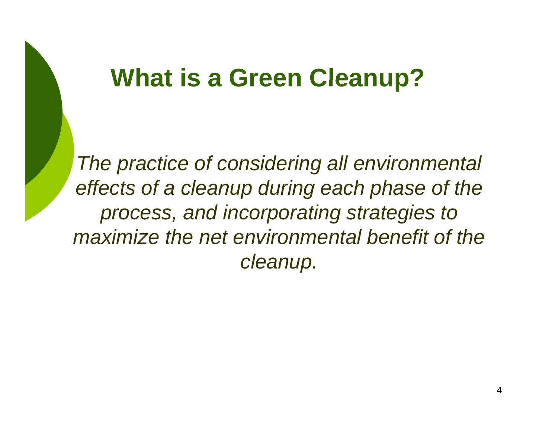### **What is <sup>a</sup> Green Cleanup?**

*The practice of considering all environmental effects of <sup>a</sup> cleanup during each phase of the effects during process, and incorporating strategies to maximize the net environmental benefit of the cleanup.*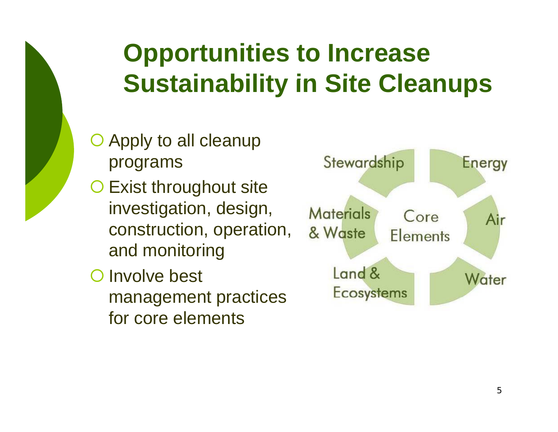# **Opportunities to Increase Sustainability in Site Cleanups**

- $O$  Apply to all cleanup programs
- **O Exist throughout site** investigation, design, construction, operation, and monitoring
- **O** Involve best management practices for core elements

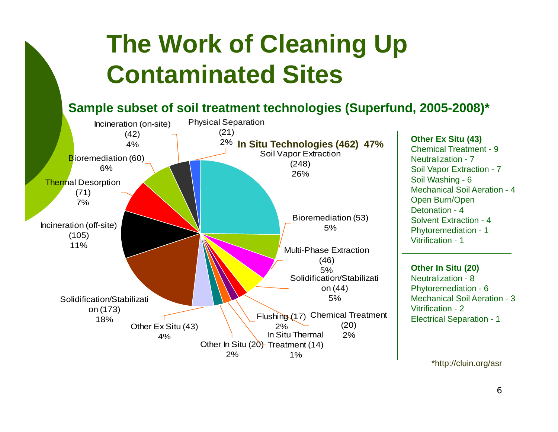# **The Work of Cleaning Up Contaminated Sites**

#### **Sample subset of soil treatment technologies (Superfund, 2005-2008)\***



**Other Ex Situ (43)** Chemical Treatment - 9Neutralization - 7Soil Vapor Extraction - 7 Soil Washing - 6 Mechanical Soil Aeration - 4 Open Burn/Open Detonation - 4Solvent Extraction - 4Phytoremediation - 1 Vitrification - 1

**Other In Situ (20)** Neutralization - 8Phytoremediation - 6 Vitrification - 2Electrical Separation - 1

\*http://cluin.org/asr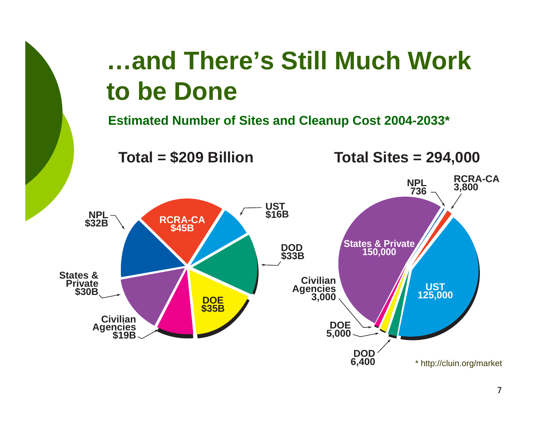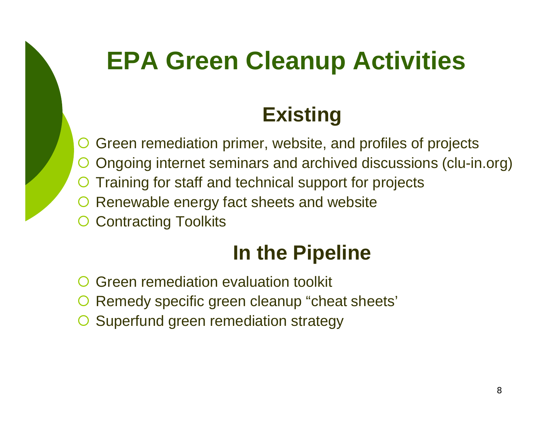# **EPA Green Cleanup Activities**

### **Existing**

- ${\color{black} \bigcirc}$  Green remediation primer, website, and profiles of projects  ${\color{black} \bigcirc}$ Ongoing internet seminars and archived discussions (clu-in.org)
- ${\color{black} \bigcirc}$ O Training for staff and technical support for projects
- ${\color{black} \bigcirc}$ Renewable energy fact sheets and website
- ${\color{black} \bigcirc}$ Contracting Toolkits

### **In the Pipeline**

- ${\color{black} \bigcirc}$ Green remediation evaluation toolkit
- ${\color{black} \bigcirc}$ O Remedy specific green cleanup "cheat sheets"
- ${\color{black} \bigcirc}$ Superfund green remediation strategy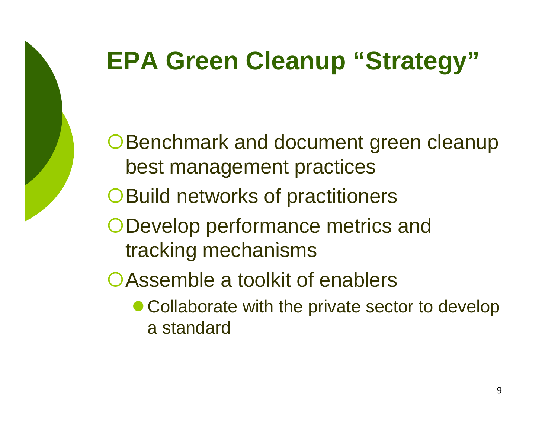

# **EPA Green Cleanup "Strategy"**

**OBenchmark and document green cleanup** best management practices

O Build networks of practitioners

{Develop performance metrics and tracking mechanisms

**OAssemble a toolkit of enablers** 

• Collaborate with the private sector to develop a standard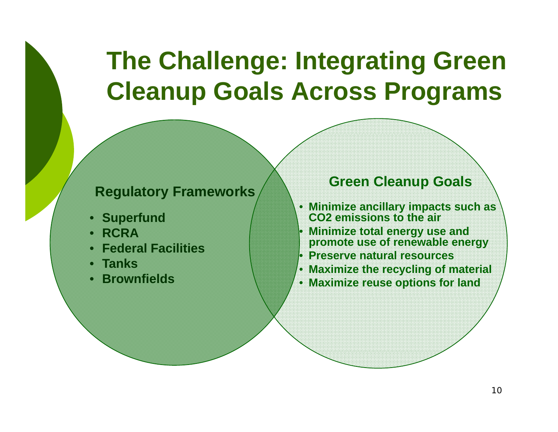## **The Challenge: Integrating Green Cleanup Goals Across Programs**

#### **R lt F kRegula tory Framewor s**

- **Superfund**
- •**RCRA**
- **Federal Facilities**
- **Tanks**
- •**Brownfields**

### **ks Green Cleanup Goals**

- **Minimize ancillary impacts such as CO2 emissions to the air**
- • **Minimize total energy use and promote use of renewable energy**
- •**Preserve natural resources**
- **Maximize the recycling of material**
- **Maximize reuse options for land**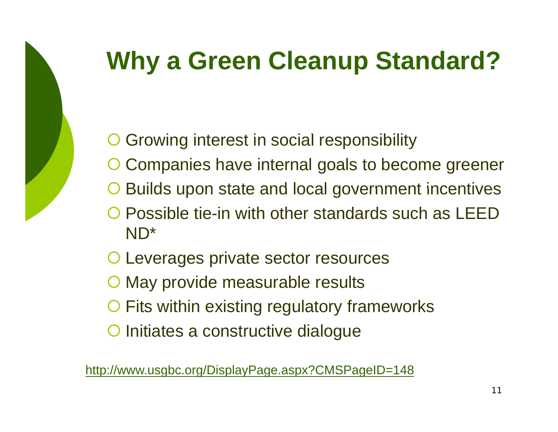

# **Why a Green Cleanup Standard?**

- ${\color{black} \bigcirc}$ O Growing interest in social responsibility
- ${\color{black} \bigcirc}$ Companies have internal goals to become greener
- ${\color{black} \bigcirc}$ Builds upon state and local government incentives
- ${\color{black} \bigcirc}$  Possible tie-in with other standards such as LEED ND\*
- { Leverages private sector resources
- { May provide measurable results
- { Fits within existing regulatory frameworks
- O Initiates a constructive dialogue

http://www.usgbc.org/DisplayPage.aspx?CMSPageID=148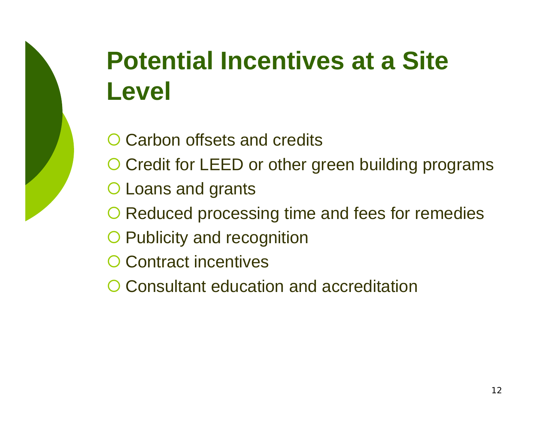# **Potential Incentives at a Site Level**

- O Carbon offsets and credits
- O Credit for LEED or other green building programs
- { Loans and grants
- O Reduced processing time and fees for remedies
- **O Publicity and recognition**
- { Contract incentives
- { Consultant education and accreditation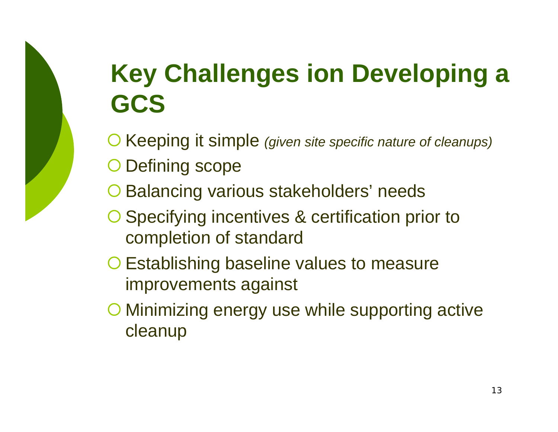# **Key Challenges ion Developing <sup>a</sup> GCS**

**O Keeping it simple** *(given site specific nature of cleanups)* 

- O Defining scope
- **O Balancing various stakeholders' needs**
- { Specifying incentives & certification prior to completion of standard
- { Establishing baseline values to measure improvements against
- { Minimizing energy use while supporting active cleanup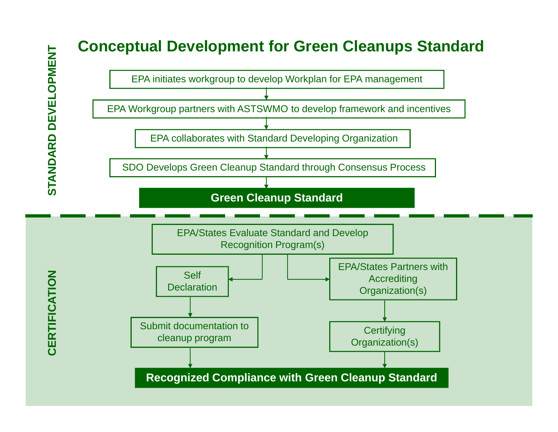### **Conceptual Development for Green Cleanups Standard**

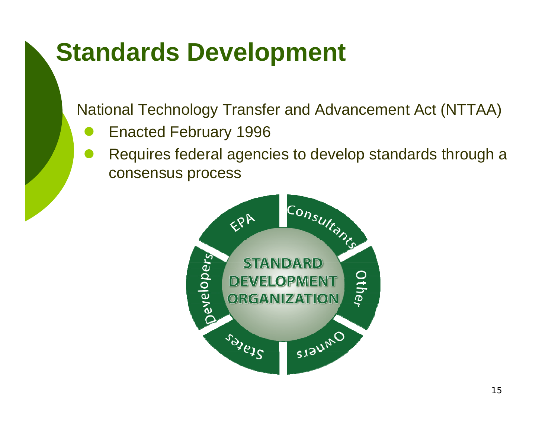### **Standards Development**

National Technology Transfer and Advancement Act (NTTAA)

- $\bullet$ Enacted February 1996
- $\bullet$  Requires federal agencies to develop standards through a consensus process

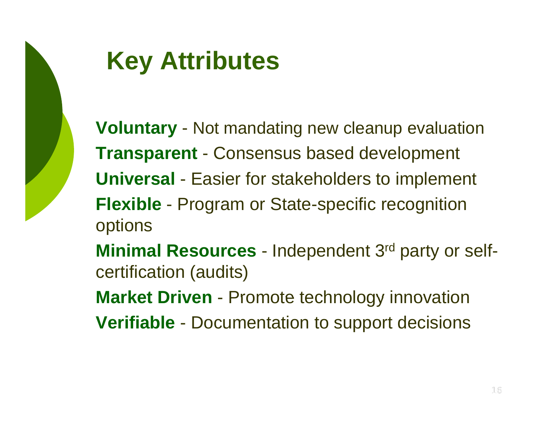

# **Key Attributes**

**Voluntary** - Not mandating new cleanup evaluation **Transparent** - Consensus based development **Universal** - Easier for stakeholders to implement **Flexible** - Program or State-specific recognition options **Minimal Resources** - Independent 3rd party or selfcertification (audits) **Market Driven - Promote technology innovation Verifiable** - Documentation to support decisions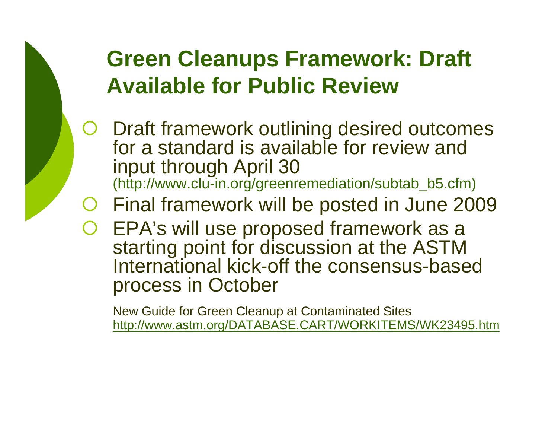### **Green Cleanups Framework: Draft Available for Public Review**

 ${\color{black} \bigcirc}$  Draft framework outlining desired outcomes for a standard is available for review and input through April 30 (http://www.clu-in.org/greenremediation/subtab\_b5.cfm)

#### ${\color{black} \bigcirc}$ Final framework will be posted in June 2009

 ${\color{black} \bigcirc}$  EPA's will use proposed framework as a starting point for discussion at the ASTM International kick-off the consensus-based process in October

New Guide for Green Cleanup at Contaminated Sites http://www.astm.org/DATABASE.CART/WORKITEMS/WK23495.htm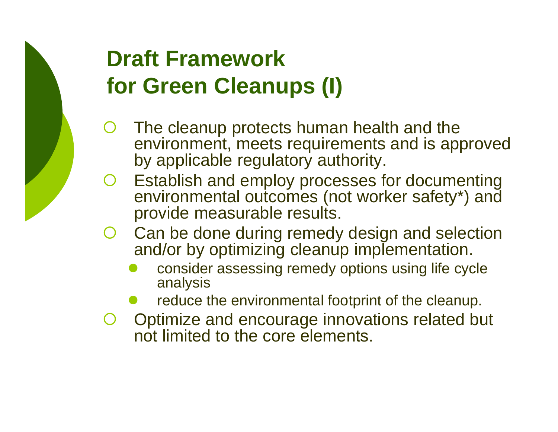### **Draft Frameworkf G Cl (I) for Green Cleanups**

- ${\color{black} \bigcirc}$  The cleanu p protects human health and the environment, meets requirements and is approved by applicable regulatory authority.
- ${\color{black} \bigcirc}$ O Establish and employ processes for documenting environmental outcomes (not worker safety\*) and provide measurable results.
- $()$  Can be done during remedy design and selection and/or by optimizing cleanup implementation.
	- $\bullet$  consider assessing remedy options using life cycle analysis
	- $\bullet$  $\bullet$  reduce the environmental footprint of the cleanup.
- { Optimize and encourage innovations related but not limited to the core elements.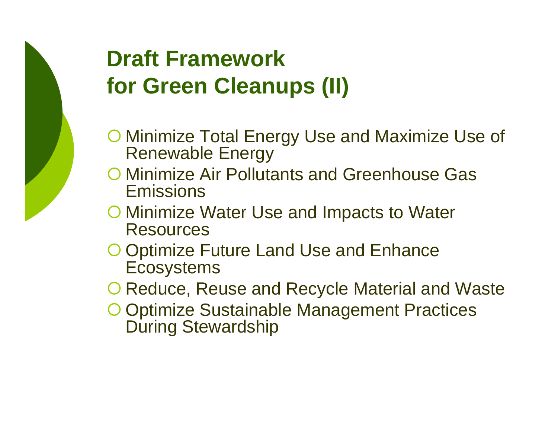### **Draft Frameworkf G Cl (II) for Green Cleanups**

- **O Minimize Total Energy Use and Maximize Use of** Renewable Energy
- { Minimize Air Pollutants and Greenhouse Gas **Emissions**
- { Minimize Water Use and Impacts to Water **Resources**
- O Optimize Future Land Use and Enhance **Ecosystems**
- O Reduce, Reuse and Recycle Material and Waste
- **O Optimize Sustainable Management Practices** During Stewardship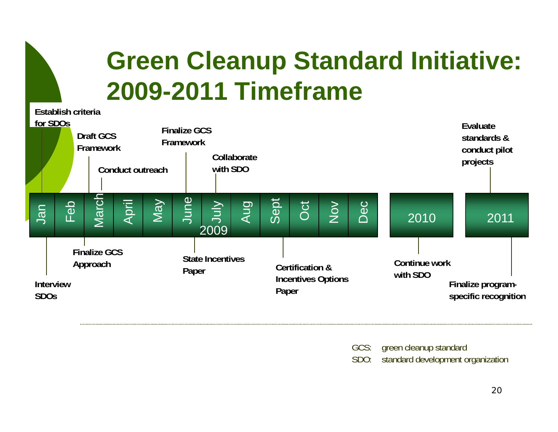### **Green Cleanup Standard Initiative: 2009-2011 Timeframe Establish criteria**

|     | LUUUIIUI UHUHU<br>for SDO <sub>S</sub>                                        |  | <b>Draft GCS</b><br>Framework | Conduct outreach |                                  | <b>Finalize GCS</b><br>Framework<br>Collaborate<br>with SDO |              |     |                                                                  |     |        |     |                           |                                           | Evaluate<br>standards &<br>conduct pilot<br>projects |  |  |
|-----|-------------------------------------------------------------------------------|--|-------------------------------|------------------|----------------------------------|-------------------------------------------------------------|--------------|-----|------------------------------------------------------------------|-----|--------|-----|---------------------------|-------------------------------------------|------------------------------------------------------|--|--|
| lan | Feb                                                                           |  | March                         | April            | <b>May</b>                       | June                                                        | VInr<br>2009 | Aug | Sept                                                             | Oct | $\geq$ | Dec | 2010                      |                                           | 2011                                                 |  |  |
|     | <b>Finalize GCS</b><br>Approach<br><b>Interview</b><br><b>SDO<sub>S</sub></b> |  |                               |                  | <b>State Incentives</b><br>Paper |                                                             |              |     | <b>Certification &amp;</b><br><b>Incentives Options</b><br>Paper |     |        |     | Continue work<br>with SDO | Finalize program-<br>specific recognition |                                                      |  |  |

GCS: green cleanup standard SDO: standard development organization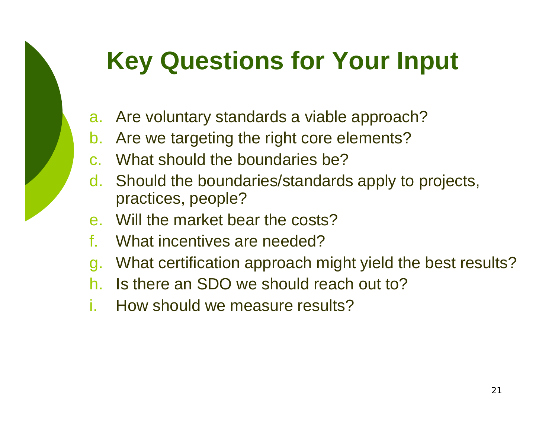# **Key Questions for Your Input**

- a. Are voluntary standards a viable approach?
- b. Are we targeting the right core elements?
- c. What should the boundaries be?
- d. Should the boundaries/standards apply to projects, practices, people?
- e. Will the market bear the costs?
- f.What incentives are needed?
- g. What certification approach might yield the best results?
- h.Is there an SDO we should reach out to?
- i.How should we measure results?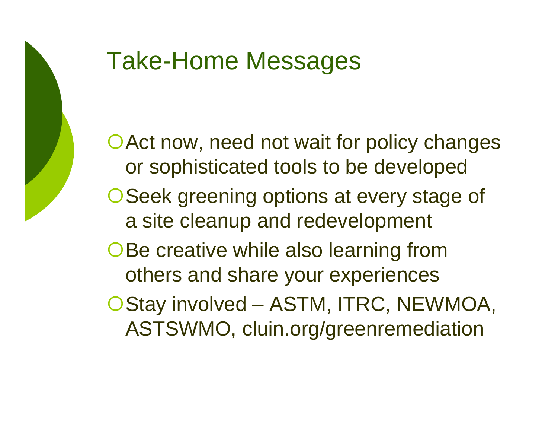

# Take-Home Messages

O Act now, need not wait for policy changes or sophisticated tools to be developed O Seek greening options at every stage of a site cleanup and redevelopment OBe creative while also learning from others and share your experiences OStay involved – ASTM, ITRC, NEWMOA, ASTSWMO, cluin.org/greenremediation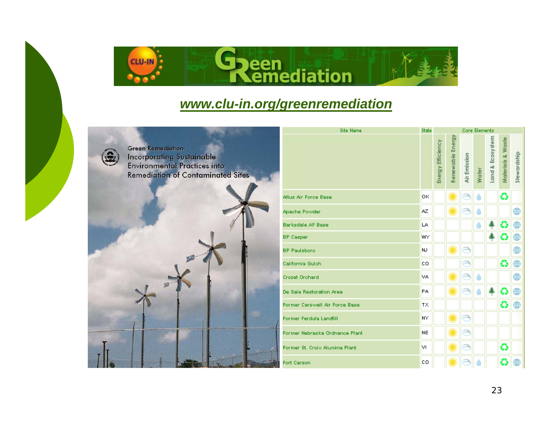

### *www.clu-in.org/greenremediation*



Green Remediation: **Incorporating Sustainable** 

| <b>Environmental Practices into</b><br><b>Remediation of Contaminated Sites</b> |    |
|---------------------------------------------------------------------------------|----|
|                                                                                 | Ā  |
|                                                                                 | Ą  |
|                                                                                 | B  |
|                                                                                 | BI |
|                                                                                 | BI |
|                                                                                 | c, |
|                                                                                 | cı |
|                                                                                 | D  |
|                                                                                 | R  |
|                                                                                 | F. |
|                                                                                 | Fo |
|                                                                                 | Fo |
|                                                                                 | Fo |

| <b>Site Name</b>              | State     | <b>Core Elements</b> |                  |              |       |                  |                   |             |  |
|-------------------------------|-----------|----------------------|------------------|--------------|-------|------------------|-------------------|-------------|--|
|                               |           | Energy Efficiency    | Renewable Energy | Air Emission | Water | Land & Ecosystem | Materials & Waste | Stewardship |  |
| ltus Air Force Base           | OK        |                      |                  |              |       |                  | ≎                 |             |  |
| pache Powder                  | AZ.       |                      |                  | ≂            |       |                  |                   | ⊕           |  |
| arksdale AF Base              | LA.       |                      |                  |              |       |                  | ≎                 | ⊕           |  |
| P Casper                      | WY        |                      |                  |              |       |                  | G                 | ⊕           |  |
| P Paulsboro                   | <b>NJ</b> |                      |                  | ⊝            |       |                  |                   | ⊕           |  |
| alifornia Gulch               | <b>CO</b> |                      |                  | ⊝            |       |                  | ≎                 | ⊕           |  |
| rozet Orchard                 | VA.       |                      |                  | ⊝            |       |                  |                   | ⊕           |  |
| le Sale Restoration Area      | <b>PA</b> |                      |                  |              |       |                  | €                 | ⊕           |  |
| ormer Carswell Air Force Base | <b>TX</b> |                      |                  |              |       |                  | ≎                 | ⊕           |  |
| ormer Ferdula Landfill        | NY        |                      |                  | ⊝            |       |                  |                   |             |  |
| ormer Nebraska Ordnance Plant | <b>NE</b> |                      |                  |              |       |                  |                   |             |  |
| ormer St. Croix Alumina Plant | M         |                      |                  | P            |       |                  | ≎                 |             |  |
| ort Carson                    | cо        |                      |                  |              |       |                  | ≎                 | ⊕           |  |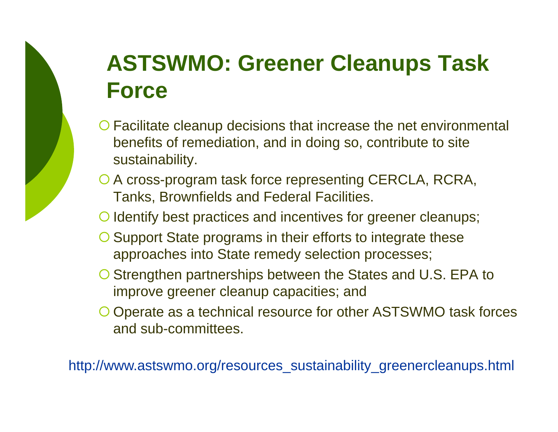### **ASTSWMO: Greener Cleanups Task Force**

- { Facilitate cleanup decisions that increase the net environmental benefits of remediation, and in doing so, contribute to site sustainability.
- O A cross-program task force representing CERCLA, RCRA, Tanks, Brownfields and Federal Facilities.

{ Identify best practices and incentives for greener cleanups;

- O Support State programs in their efforts to integrate these approaches into State remedy selection processes;
- { Strengthen partnerships between the States and U.S. EPA to improve greener cleanup capacities; and
- { Operate as a technical resource for other ASTSWMO task forces and sub-committees.

http://www.astswmo.org/resources\_sustainability\_greenercleanups.html